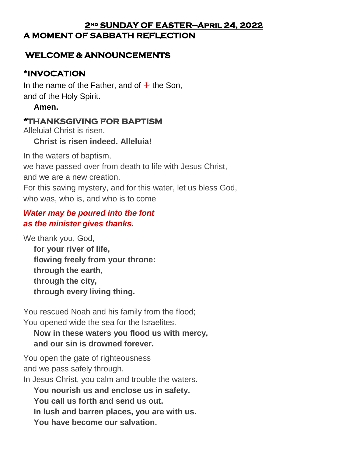### **2nd SUNDAY OF EASTER—April 24, 2022 A MOMENT OF SABBATH REFLECTION**

## **WELCOME & ANNOUNCEMENTS**

## **\*INVOCATION**

In the name of the Father, and of  $\pm$  the Son, and of the Holy Spirit.

### **Amen.**

## **\*THANKSGIVING FOR BAPTISM**

Alleluia! Christ is risen.

## **Christ is risen indeed. Alleluia!**

In the waters of baptism, we have passed over from death to life with Jesus Christ, and we are a new creation. For this saving mystery, and for this water, let us bless God, who was, who is, and who is to come

## *Water may be poured into the font as the minister gives thanks.*

We thank you, God,

**for your river of life, flowing freely from your throne: through the earth, through the city, through every living thing.**

You rescued Noah and his family from the flood; You opened wide the sea for the Israelites.

## **Now in these waters you flood us with mercy, and our sin is drowned forever.**

You open the gate of righteousness and we pass safely through.

In Jesus Christ, you calm and trouble the waters.

**You nourish us and enclose us in safety.**

**You call us forth and send us out.**

**In lush and barren places, you are with us.**

**You have become our salvation.**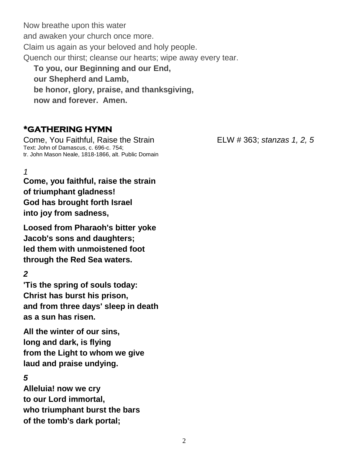Now breathe upon this water and awaken your church once more. Claim us again as your beloved and holy people. Quench our thirst; cleanse our hearts; wipe away every tear. **To you, our Beginning and our End, our Shepherd and Lamb,**

**be honor, glory, praise, and thanksgiving,**

**now and forever. Amen.**

## **\*GATHERING HYMN**

Come, You Faithful, Raise the Strain ELW # 363; *stanzas 1, 2, 5* Text: John of Damascus, c. 696-c. 754; tr. John Mason Neale, 1818-1866, alt. Public Domain

# *1*

**Come, you faithful, raise the strain of triumphant gladness! God has brought forth Israel into joy from sadness,**

**Loosed from Pharaoh's bitter yoke Jacob's sons and daughters; led them with unmoistened foot through the Red Sea waters.**

### *2*

**'Tis the spring of souls today: Christ has burst his prison, and from three days' sleep in death as a sun has risen.**

**All the winter of our sins, long and dark, is flying from the Light to whom we give laud and praise undying.**

### *5*

**Alleluia! now we cry to our Lord immortal, who triumphant burst the bars of the tomb's dark portal;**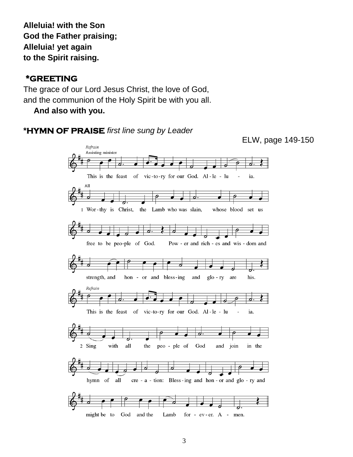**Alleluia! with the Son God the Father praising; Alleluia! yet again to the Spirit raising.**

### **\*GREETING**

The grace of our Lord Jesus Christ, the love of God, and the communion of the Holy Spirit be with you all.

**And also with you.**



ELW, page 149-150

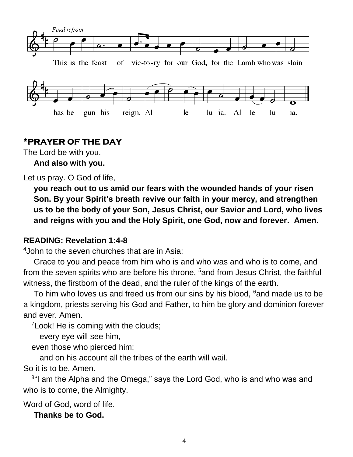

### **\*PRAYER OF THE DAY**

The Lord be with you.

**And also with you.**

Let us pray. O God of life,

**you reach out to us amid our fears with the wounded hands of your risen Son. By your Spirit's breath revive our faith in your mercy, and strengthen us to be the body of your Son, Jesus Christ, our Savior and Lord, who lives and reigns with you and the Holy Spirit, one God, now and forever. Amen.**

### **READING: Revelation 1:4-8**

 $4$ John to the seven churches that are in Asia:

Grace to you and peace from him who is and who was and who is to come, and from the seven spirits who are before his throne, <sup>5</sup> and from Jesus Christ, the faithful witness, the firstborn of the dead, and the ruler of the kings of the earth.

To him who loves us and freed us from our sins by his blood, <sup>6</sup>and made us to be a kingdom, priests serving his God and Father, to him be glory and dominion forever and ever. Amen.

<sup>7</sup> Look! He is coming with the clouds;

every eye will see him,

even those who pierced him;

and on his account all the tribes of the earth will wail.

So it is to be. Amen.

<sup>8</sup>"I am the Alpha and the Omega," says the Lord God, who is and who was and who is to come, the Almighty.

Word of God, word of life.

**Thanks be to God.**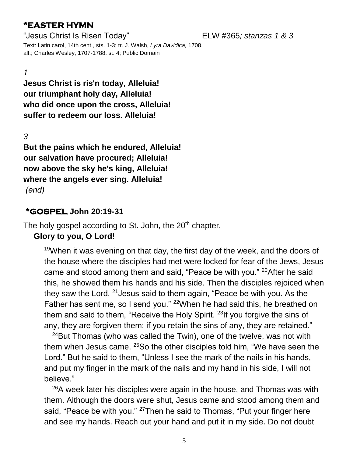## **\*EASTER HYMN**

"Jesus Christ Is Risen Today" ELW #365*; stanzas 1 & 3*

Text: Latin carol, 14th cent., sts. 1-3; tr. J. Walsh, *Lyra Davidica,* 1708, alt.; Charles Wesley, 1707-1788, st. 4; Public Domain

### *1*

**Jesus Christ is ris'n today, Alleluia! our triumphant holy day, Alleluia! who did once upon the cross, Alleluia! suffer to redeem our loss. Alleluia!**

*3*

**But the pains which he endured, Alleluia! our salvation have procured; Alleluia! now above the sky he's king, Alleluia! where the angels ever sing. Alleluia!** *(end)*

### **\*GOSPEL John 20:19-31**

The holy gospel according to St. John, the 20<sup>th</sup> chapter. **Glory to you, O Lord!**

 $19$ When it was evening on that day, the first day of the week, and the doors of the house where the disciples had met were locked for fear of the Jews, Jesus came and stood among them and said, "Peace be with you." <sup>20</sup>After he said this, he showed them his hands and his side. Then the disciples rejoiced when they saw the Lord. <sup>21</sup>Jesus said to them again, "Peace be with you. As the Father has sent me, so I send you." <sup>22</sup>When he had said this, he breathed on them and said to them, "Receive the Holy Spirit.<sup>23</sup>If you forgive the sins of any, they are forgiven them; if you retain the sins of any, they are retained."

 $24$ But Thomas (who was called the Twin), one of the twelve, was not with them when Jesus came. <sup>25</sup>So the other disciples told him, "We have seen the Lord." But he said to them, "Unless I see the mark of the nails in his hands, and put my finger in the mark of the nails and my hand in his side, I will not believe."

<sup>26</sup>A week later his disciples were again in the house, and Thomas was with them. Although the doors were shut, Jesus came and stood among them and said, "Peace be with you." <sup>27</sup>Then he said to Thomas, "Put your finger here and see my hands. Reach out your hand and put it in my side. Do not doubt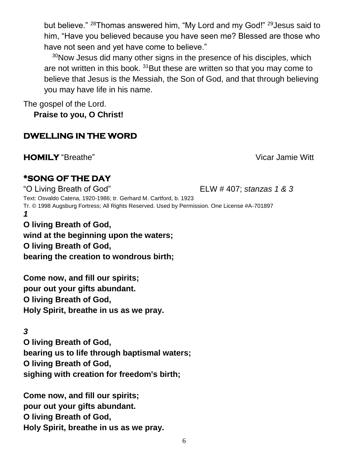but believe." <sup>28</sup>Thomas answered him, "My Lord and my God!" <sup>29</sup>Jesus said to him, "Have you believed because you have seen me? Blessed are those who have not seen and yet have come to believe."

<sup>30</sup>Now Jesus did many other signs in the presence of his disciples, which are not written in this book.  $31$ But these are written so that you may come to believe that Jesus is the Messiah, the Son of God, and that through believing you may have life in his name.

The gospel of the Lord.

**Praise to you, O Christ!**

# **DWELLING IN THE WORD**

**HOMILY** "Breathe" Vicar Jamie Witt

# **\*SONG OF THE DAY**

"O Living Breath of God" ELW # 407; *stanzas 1 & 3* Text: Osvaldo Catena, 1920-1986; tr. Gerhard M. Cartford, b. 1923 Tr. © 1998 Augsburg Fortress; All Rights Reserved. Used by Permission. One License #A-701897 *1* **O living Breath of God,** 

**wind at the beginning upon the waters; O living Breath of God, bearing the creation to wondrous birth;**

**Come now, and fill our spirits; pour out your gifts abundant. O living Breath of God, Holy Spirit, breathe in us as we pray.**

# *3*

**O living Breath of God, bearing us to life through baptismal waters; O living Breath of God, sighing with creation for freedom's birth;**

**Come now, and fill our spirits; pour out your gifts abundant. O living Breath of God, Holy Spirit, breathe in us as we pray.**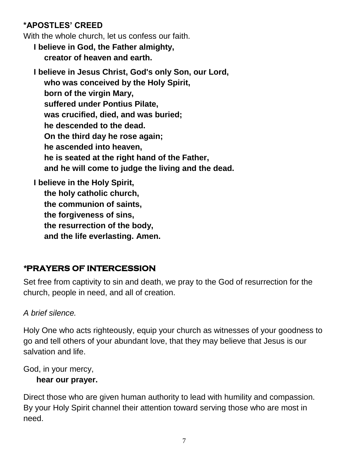## **\*APOSTLES' CREED**

With the whole church, let us confess our faith.

**I believe in God, the Father almighty, creator of heaven and earth.**

**I believe in Jesus Christ, God's only Son, our Lord, who was conceived by the Holy Spirit, born of the virgin Mary, suffered under Pontius Pilate, was crucified, died, and was buried; he descended to the dead. On the third day he rose again; he ascended into heaven, he is seated at the right hand of the Father, and he will come to judge the living and the dead.**

**I believe in the Holy Spirit, the holy catholic church, the communion of saints, the forgiveness of sins, the resurrection of the body, and the life everlasting. Amen.**

# *\****PRAYERS OF INTERCESSION**

Set free from captivity to sin and death, we pray to the God of resurrection for the church, people in need, and all of creation.

### *A brief silence.*

Holy One who acts righteously, equip your church as witnesses of your goodness to go and tell others of your abundant love, that they may believe that Jesus is our salvation and life.

God, in your mercy,

### **hear our prayer.**

Direct those who are given human authority to lead with humility and compassion. By your Holy Spirit channel their attention toward serving those who are most in need.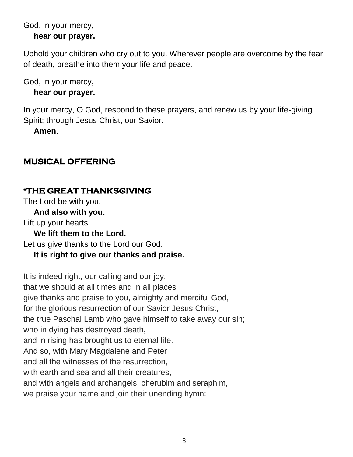# God, in your mercy,

**hear our prayer.**

Uphold your children who cry out to you. Wherever people are overcome by the fear of death, breathe into them your life and peace.

God, in your mercy,

### **hear our prayer.**

In your mercy, O God, respond to these prayers, and renew us by your life-giving Spirit; through Jesus Christ, our Savior.

**Amen.**

# **MUSICAL OFFERING**

# **\*THE GREAT THANKSGIVING**

The Lord be with you.

**And also with you.**

Lift up your hearts.

**We lift them to the Lord.**

Let us give thanks to the Lord our God.

# **It is right to give our thanks and praise.**

It is indeed right, our calling and our joy, that we should at all times and in all places give thanks and praise to you, almighty and merciful God, for the glorious resurrection of our Savior Jesus Christ, the true Paschal Lamb who gave himself to take away our sin; who in dying has destroyed death, and in rising has brought us to eternal life. And so, with Mary Magdalene and Peter and all the witnesses of the resurrection, with earth and sea and all their creatures. and with angels and archangels, cherubim and seraphim, we praise your name and join their unending hymn: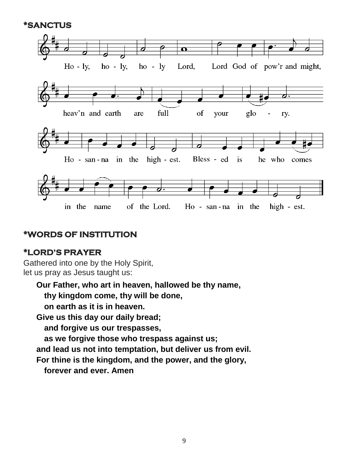### **\*SANCTUS**



### **\*WORDS OF INSTITUTION**

### **\*LORD'S PRAYER**

Gathered into one by the Holy Spirit, let us pray as Jesus taught us:

**Our Father, who art in heaven, hallowed be thy name, thy kingdom come, thy will be done, on earth as it is in heaven. Give us this day our daily bread; and forgive us our trespasses, as we forgive those who trespass against us; and lead us not into temptation, but deliver us from evil. For thine is the kingdom, and the power, and the glory, forever and ever. Amen**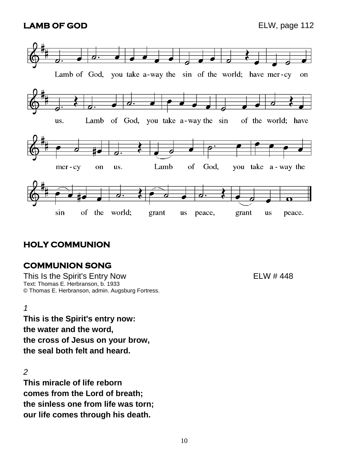### **LAMB OF GOD** ELW, page 112



# **HOLY COMMUNION**

## **COMMUNION SONG**

This Is the Spirit's Entry Now This Is the 448 Text: Thomas E. Herbranson, b. 1933 © Thomas E. Herbranson, admin. Augsburg Fortress.

### *1*

**This is the Spirit's entry now: the water and the word, the cross of Jesus on your brow, the seal both felt and heard.**

### *2*

**This miracle of life reborn comes from the Lord of breath; the sinless one from life was torn; our life comes through his death.**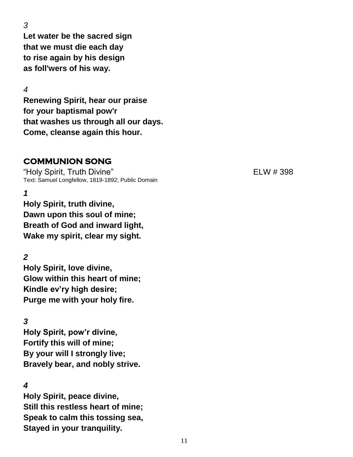*3*

**Let water be the sacred sign that we must die each day to rise again by his design as foll'wers of his way.**

*4*

**Renewing Spirit, hear our praise for your baptismal pow'r that washes us through all our days. Come, cleanse again this hour.**

# **COMMUNION SONG**

"Holy Spirit, Truth Divine" ELW # 398 Text: Samuel Longfellow, 1819-1892; Public Domain

*1*

**Holy Spirit, truth divine, Dawn upon this soul of mine; Breath of God and inward light, Wake my spirit, clear my sight.**

*2*

**Holy Spirit, love divine, Glow within this heart of mine; Kindle ev'ry high desire; Purge me with your holy fire.**

*3*

**Holy Spirit, pow'r divine, Fortify this will of mine; By your will I strongly live; Bravely bear, and nobly strive.**

### *4*

**Holy Spirit, peace divine, Still this restless heart of mine; Speak to calm this tossing sea, Stayed in your tranquility.**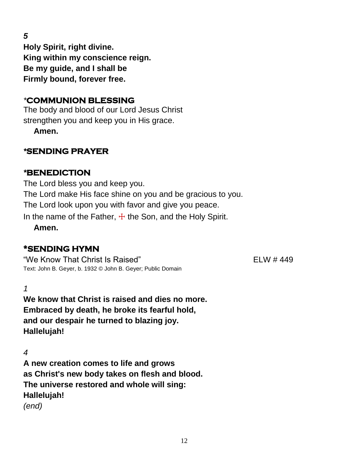*5*

**Holy Spirit, right divine. King within my conscience reign. Be my guide, and I shall be Firmly bound, forever free.**

## *\****COMMUNION BLESSING**

The body and blood of our Lord Jesus Christ strengthen you and keep you in His grace.

**Amen.**

## *\****SENDING PRAYER**

## *\****BENEDICTION**

The Lord bless you and keep you. The Lord make His face shine on you and be gracious to you. The Lord look upon you with favor and give you peace. In the name of the Father,  $\pm$  the Son, and the Holy Spirit.

**Amen.**

# **\*SENDING HYMN**

"We Know That Christ Is Raised" And The Control of the ELW # 449 Text: John B. Geyer, b. 1932 © John B. Geyer; Public Domain

*1*

**We know that Christ is raised and dies no more. Embraced by death, he broke its fearful hold, and our despair he turned to blazing joy. Hallelujah!**

*4*

**A new creation comes to life and grows as Christ's new body takes on flesh and blood. The universe restored and whole will sing: Hallelujah!** *(end)*